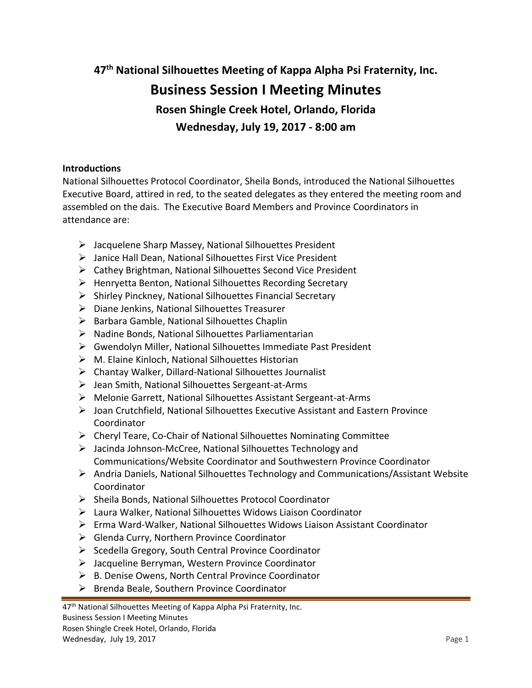**47th National Silhouettes Meeting of Kappa Alpha Psi Fraternity, Inc.**

# **Business Session I Meeting Minutes**

**Rosen Shingle Creek Hotel, Orlando, Florida**

**Wednesday, July 19, 2017 - 8:00 am**

# **Introductions**

National Silhouettes Protocol Coordinator, Sheila Bonds, introduced the National Silhouettes Executive Board, attired in red, to the seated delegates as they entered the meeting room and assembled on the dais. The Executive Board Members and Province Coordinators in attendance are:

- Jacquelene Sharp Massey, National Silhouettes President
- Janice Hall Dean, National Silhouettes First Vice President
- $\triangleright$  Cathey Brightman, National Silhouettes Second Vice President
- $\triangleright$  Henryetta Benton, National Silhouettes Recording Secretary
- $\triangleright$  Shirley Pinckney, National Silhouettes Financial Secretary
- Diane Jenkins, National Silhouettes Treasurer
- $\triangleright$  Barbara Gamble, National Silhouettes Chaplin
- $\triangleright$  Nadine Bonds, National Silhouettes Parliamentarian
- Gwendolyn Miller, National Silhouettes Immediate Past President
- $\triangleright$  M. Elaine Kinloch, National Silhouettes Historian
- $\triangleright$  Chantay Walker, Dillard-National Silhouettes Journalist
- $\triangleright$  Jean Smith, National Silhouettes Sergeant-at-Arms
- Melonie Garrett, National Silhouettes Assistant Sergeant-at-Arms
- $\triangleright$  Joan Crutchfield, National Silhouettes Executive Assistant and Eastern Province Coordinator
- $\triangleright$  Cheryl Teare, Co-Chair of National Silhouettes Nominating Committee
- Jacinda Johnson-McCree, National Silhouettes Technology and Communications/Website Coordinator and Southwestern Province Coordinator
- $\triangleright$  Andria Daniels, National Silhouettes Technology and Communications/Assistant Website Coordinator
- > Sheila Bonds, National Silhouettes Protocol Coordinator
- Laura Walker, National Silhouettes Widows Liaison Coordinator
- Erma Ward-Walker, National Silhouettes Widows Liaison Assistant Coordinator
- $\triangleright$  Glenda Curry, Northern Province Coordinator
- $\triangleright$  Scedella Gregory, South Central Province Coordinator
- Jacqueline Berryman, Western Province Coordinator
- B. Denise Owens, North Central Province Coordinator
- $\triangleright$  Brenda Beale, Southern Province Coordinator

<sup>47&</sup>lt;sup>th</sup> National Silhouettes Meeting of Kappa Alpha Psi Fraternity, Inc.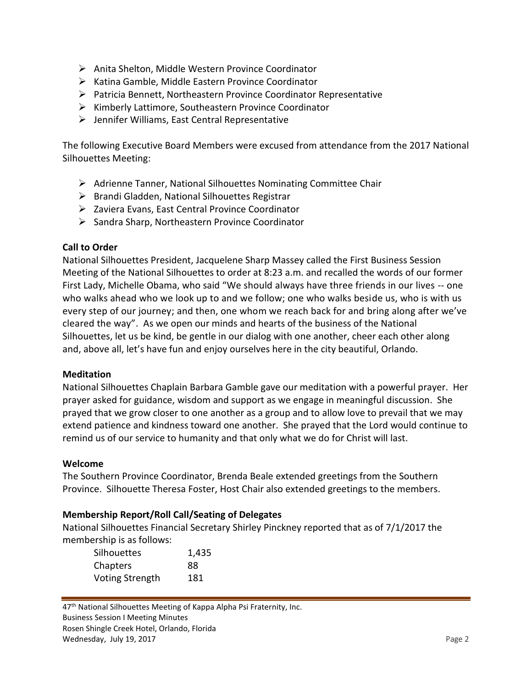- $\triangleright$  Anita Shelton, Middle Western Province Coordinator
- $\triangleright$  Katina Gamble, Middle Eastern Province Coordinator
- $\triangleright$  Patricia Bennett, Northeastern Province Coordinator Representative
- $\triangleright$  Kimberly Lattimore, Southeastern Province Coordinator
- $\triangleright$  Jennifer Williams, East Central Representative

The following Executive Board Members were excused from attendance from the 2017 National Silhouettes Meeting:

- Adrienne Tanner, National Silhouettes Nominating Committee Chair
- $\triangleright$  Brandi Gladden, National Silhouettes Registrar
- $\triangleright$  Zaviera Evans, East Central Province Coordinator
- $\triangleright$  Sandra Sharp, Northeastern Province Coordinator

#### **Call to Order**

National Silhouettes President, Jacquelene Sharp Massey called the First Business Session Meeting of the National Silhouettes to order at 8:23 a.m. and recalled the words of our former First Lady, Michelle Obama, who said "We should always have three friends in our lives -- one who walks ahead who we look up to and we follow; one who walks beside us, who is with us every step of our journey; and then, one whom we reach back for and bring along after we've cleared the way". As we open our minds and hearts of the business of the National Silhouettes, let us be kind, be gentle in our dialog with one another, cheer each other along and, above all, let's have fun and enjoy ourselves here in the city beautiful, Orlando.

#### **Meditation**

National Silhouettes Chaplain Barbara Gamble gave our meditation with a powerful prayer. Her prayer asked for guidance, wisdom and support as we engage in meaningful discussion. She prayed that we grow closer to one another as a group and to allow love to prevail that we may extend patience and kindness toward one another. She prayed that the Lord would continue to remind us of our service to humanity and that only what we do for Christ will last.

#### **Welcome**

The Southern Province Coordinator, Brenda Beale extended greetings from the Southern Province. Silhouette Theresa Foster, Host Chair also extended greetings to the members.

#### **Membership Report/Roll Call/Seating of Delegates**

National Silhouettes Financial Secretary Shirley Pinckney reported that as of 7/1/2017 the membership is as follows:

| <b>Silhouettes</b>     | 1,435 |
|------------------------|-------|
| Chapters               | 88    |
| <b>Voting Strength</b> | 181   |

47<sup>th</sup> National Silhouettes Meeting of Kappa Alpha Psi Fraternity, Inc. Business Session I Meeting Minutes Rosen Shingle Creek Hotel, Orlando, Florida Wednesday, July 19, 2017 **Page 2**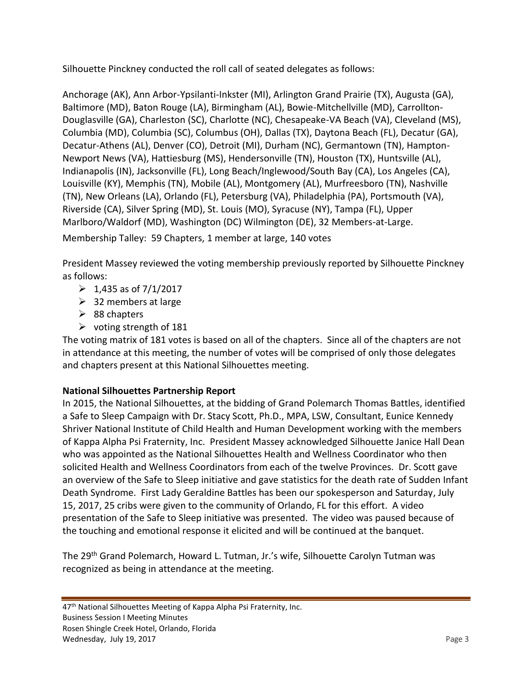Silhouette Pinckney conducted the roll call of seated delegates as follows:

Anchorage (AK), Ann Arbor-Ypsilanti-Inkster (MI), Arlington Grand Prairie (TX), Augusta (GA), Baltimore (MD), Baton Rouge (LA), Birmingham (AL), Bowie-Mitchellville (MD), Carrollton-Douglasville (GA), Charleston (SC), Charlotte (NC), Chesapeake-VA Beach (VA), Cleveland (MS), Columbia (MD), Columbia (SC), Columbus (OH), Dallas (TX), Daytona Beach (FL), Decatur (GA), Decatur-Athens (AL), Denver (CO), Detroit (MI), Durham (NC), Germantown (TN), Hampton-Newport News (VA), Hattiesburg (MS), Hendersonville (TN), Houston (TX), Huntsville (AL), Indianapolis (IN), Jacksonville (FL), Long Beach/Inglewood/South Bay (CA), Los Angeles (CA), Louisville (KY), Memphis (TN), Mobile (AL), Montgomery (AL), Murfreesboro (TN), Nashville (TN), New Orleans (LA), Orlando (FL), Petersburg (VA), Philadelphia (PA), Portsmouth (VA), Riverside (CA), Silver Spring (MD), St. Louis (MO), Syracuse (NY), Tampa (FL), Upper Marlboro/Waldorf (MD), Washington (DC) Wilmington (DE), 32 Members-at-Large. Membership Talley: 59 Chapters, 1 member at large, 140 votes

President Massey reviewed the voting membership previously reported by Silhouette Pinckney as follows:

- $\geq 1,435$  as of 7/1/2017
- $\geq$  32 members at large
- $\geq$  88 chapters
- $\triangleright$  voting strength of 181

The voting matrix of 181 votes is based on all of the chapters. Since all of the chapters are not in attendance at this meeting, the number of votes will be comprised of only those delegates and chapters present at this National Silhouettes meeting.

# **National Silhouettes Partnership Report**

In 2015, the National Silhouettes, at the bidding of Grand Polemarch Thomas Battles, identified a Safe to Sleep Campaign with Dr. Stacy Scott, Ph.D., MPA, LSW, Consultant, Eunice Kennedy Shriver National Institute of Child Health and Human Development working with the members of Kappa Alpha Psi Fraternity, Inc. President Massey acknowledged Silhouette Janice Hall Dean who was appointed as the National Silhouettes Health and Wellness Coordinator who then solicited Health and Wellness Coordinators from each of the twelve Provinces. Dr. Scott gave an overview of the Safe to Sleep initiative and gave statistics for the death rate of Sudden Infant Death Syndrome. First Lady Geraldine Battles has been our spokesperson and Saturday, July 15, 2017, 25 cribs were given to the community of Orlando, FL for this effort. A video presentation of the Safe to Sleep initiative was presented. The video was paused because of the touching and emotional response it elicited and will be continued at the banquet.

The 29<sup>th</sup> Grand Polemarch, Howard L. Tutman, Jr.'s wife, Silhouette Carolyn Tutman was recognized as being in attendance at the meeting.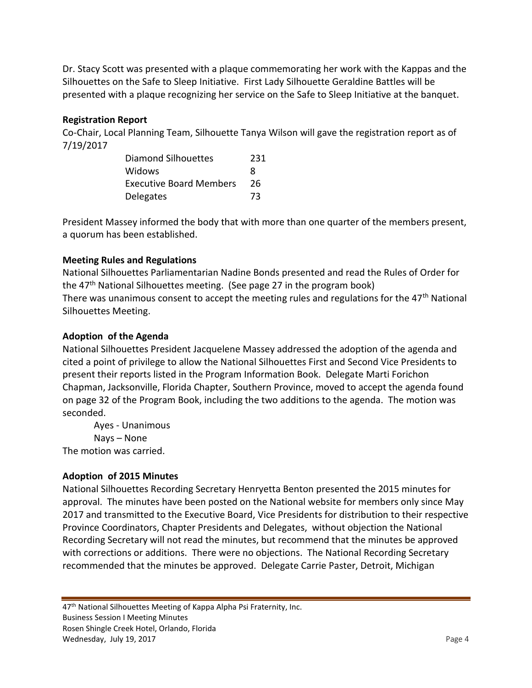Dr. Stacy Scott was presented with a plaque commemorating her work with the Kappas and the Silhouettes on the Safe to Sleep Initiative. First Lady Silhouette Geraldine Battles will be presented with a plaque recognizing her service on the Safe to Sleep Initiative at the banquet.

# **Registration Report**

Co-Chair, Local Planning Team, Silhouette Tanya Wilson will gave the registration report as of 7/19/2017

| Diamond Silhouettes            | 231 |
|--------------------------------|-----|
| Widows                         | я   |
| <b>Executive Board Members</b> | 26  |
| <b>Delegates</b>               | 73  |

President Massey informed the body that with more than one quarter of the members present, a quorum has been established.

# **Meeting Rules and Regulations**

National Silhouettes Parliamentarian Nadine Bonds presented and read the Rules of Order for the  $47<sup>th</sup>$  National Silhouettes meeting. (See page 27 in the program book) There was unanimous consent to accept the meeting rules and regulations for the  $47<sup>th</sup>$  National Silhouettes Meeting.

#### **Adoption of the Agenda**

National Silhouettes President Jacquelene Massey addressed the adoption of the agenda and cited a point of privilege to allow the National Silhouettes First and Second Vice Presidents to present their reports listed in the Program Information Book. Delegate Marti Forichon Chapman, Jacksonville, Florida Chapter, Southern Province, moved to accept the agenda found on page 32 of the Program Book, including the two additions to the agenda. The motion was seconded.

Ayes - Unanimous Nays – None The motion was carried.

# **Adoption of 2015 Minutes**

National Silhouettes Recording Secretary Henryetta Benton presented the 2015 minutes for approval. The minutes have been posted on the National website for members only since May 2017 and transmitted to the Executive Board, Vice Presidents for distribution to their respective Province Coordinators, Chapter Presidents and Delegates, without objection the National Recording Secretary will not read the minutes, but recommend that the minutes be approved with corrections or additions. There were no objections. The National Recording Secretary recommended that the minutes be approved. Delegate Carrie Paster, Detroit, Michigan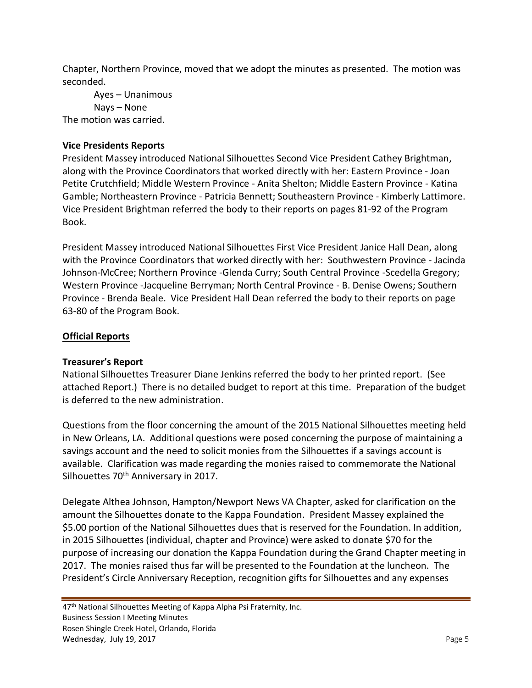Chapter, Northern Province, moved that we adopt the minutes as presented. The motion was seconded.

Ayes – Unanimous Nays – None The motion was carried.

#### **Vice Presidents Reports**

President Massey introduced National Silhouettes Second Vice President Cathey Brightman, along with the Province Coordinators that worked directly with her: Eastern Province - Joan Petite Crutchfield; Middle Western Province - Anita Shelton; Middle Eastern Province - Katina Gamble; Northeastern Province - Patricia Bennett; Southeastern Province - Kimberly Lattimore. Vice President Brightman referred the body to their reports on pages 81-92 of the Program Book.

President Massey introduced National Silhouettes First Vice President Janice Hall Dean, along with the Province Coordinators that worked directly with her: Southwestern Province - Jacinda Johnson-McCree; Northern Province -Glenda Curry; South Central Province -Scedella Gregory; Western Province -Jacqueline Berryman; North Central Province - B. Denise Owens; Southern Province - Brenda Beale. Vice President Hall Dean referred the body to their reports on page 63-80 of the Program Book.

# **Official Reports**

#### **Treasurer's Report**

National Silhouettes Treasurer Diane Jenkins referred the body to her printed report. (See attached Report.) There is no detailed budget to report at this time. Preparation of the budget is deferred to the new administration.

Questions from the floor concerning the amount of the 2015 National Silhouettes meeting held in New Orleans, LA. Additional questions were posed concerning the purpose of maintaining a savings account and the need to solicit monies from the Silhouettes if a savings account is available. Clarification was made regarding the monies raised to commemorate the National Silhouettes 70<sup>th</sup> Anniversary in 2017.

Delegate Althea Johnson, Hampton/Newport News VA Chapter, asked for clarification on the amount the Silhouettes donate to the Kappa Foundation. President Massey explained the \$5.00 portion of the National Silhouettes dues that is reserved for the Foundation. In addition, in 2015 Silhouettes (individual, chapter and Province) were asked to donate \$70 for the purpose of increasing our donation the Kappa Foundation during the Grand Chapter meeting in 2017. The monies raised thus far will be presented to the Foundation at the luncheon. The President's Circle Anniversary Reception, recognition gifts for Silhouettes and any expenses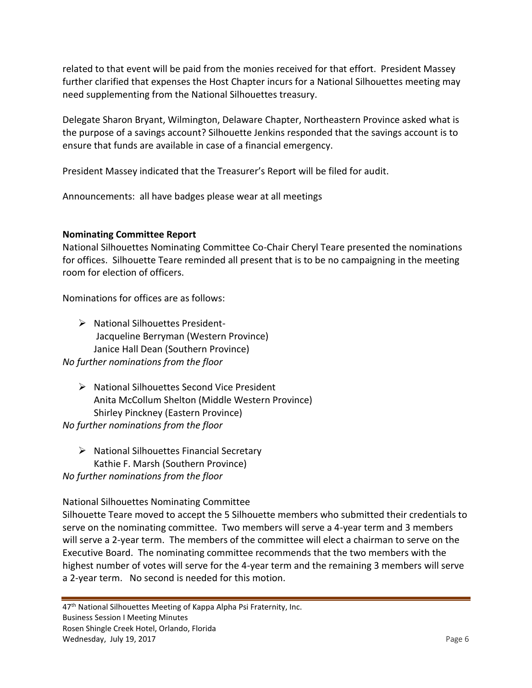related to that event will be paid from the monies received for that effort. President Massey further clarified that expenses the Host Chapter incurs for a National Silhouettes meeting may need supplementing from the National Silhouettes treasury.

Delegate Sharon Bryant, Wilmington, Delaware Chapter, Northeastern Province asked what is the purpose of a savings account? Silhouette Jenkins responded that the savings account is to ensure that funds are available in case of a financial emergency.

President Massey indicated that the Treasurer's Report will be filed for audit.

Announcements: all have badges please wear at all meetings

# **Nominating Committee Report**

National Silhouettes Nominating Committee Co-Chair Cheryl Teare presented the nominations for offices. Silhouette Teare reminded all present that is to be no campaigning in the meeting room for election of officers.

Nominations for offices are as follows:

 $\triangleright$  National Silhouettes President-Jacqueline Berryman (Western Province) Janice Hall Dean (Southern Province) *No further nominations from the floor*

- $\triangleright$  National Silhouettes Second Vice President Anita McCollum Shelton (Middle Western Province) Shirley Pinckney (Eastern Province) *No further nominations from the floor*
- $\triangleright$  National Silhouettes Financial Secretary Kathie F. Marsh (Southern Province) *No further nominations from the floor*

National Silhouettes Nominating Committee

Silhouette Teare moved to accept the 5 Silhouette members who submitted their credentials to serve on the nominating committee. Two members will serve a 4-year term and 3 members will serve a 2-year term. The members of the committee will elect a chairman to serve on the Executive Board. The nominating committee recommends that the two members with the highest number of votes will serve for the 4-year term and the remaining 3 members will serve a 2-year term. No second is needed for this motion.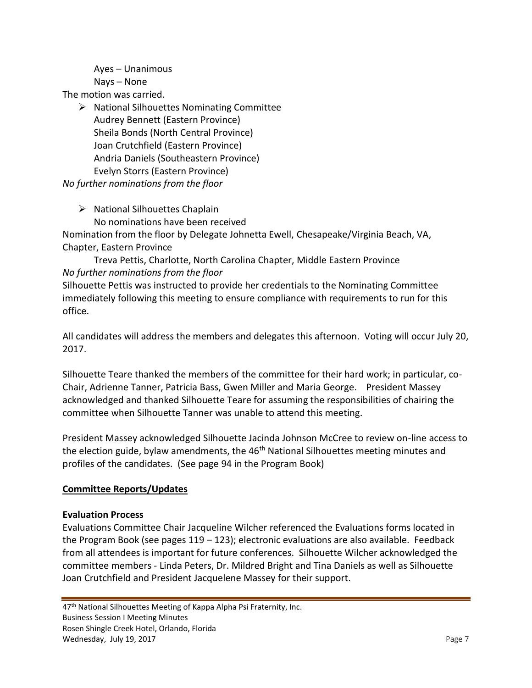Ayes – Unanimous Nays – None

The motion was carried.

 $\triangleright$  National Silhouettes Nominating Committee Audrey Bennett (Eastern Province) Sheila Bonds (North Central Province) Joan Crutchfield (Eastern Province) Andria Daniels (Southeastern Province) Evelyn Storrs (Eastern Province)

*No further nominations from the floor*

 $\triangleright$  National Silhouettes Chaplain

No nominations have been received

Nomination from the floor by Delegate Johnetta Ewell, Chesapeake/Virginia Beach, VA, Chapter, Eastern Province

Treva Pettis, Charlotte, North Carolina Chapter, Middle Eastern Province *No further nominations from the floor*

Silhouette Pettis was instructed to provide her credentials to the Nominating Committee immediately following this meeting to ensure compliance with requirements to run for this office.

All candidates will address the members and delegates this afternoon. Voting will occur July 20, 2017.

Silhouette Teare thanked the members of the committee for their hard work; in particular, co-Chair, Adrienne Tanner, Patricia Bass, Gwen Miller and Maria George. President Massey acknowledged and thanked Silhouette Teare for assuming the responsibilities of chairing the committee when Silhouette Tanner was unable to attend this meeting.

President Massey acknowledged Silhouette Jacinda Johnson McCree to review on-line access to the election guide, bylaw amendments, the 46<sup>th</sup> National Silhouettes meeting minutes and profiles of the candidates. (See page 94 in the Program Book)

# **Committee Reports/Updates**

# **Evaluation Process**

Evaluations Committee Chair Jacqueline Wilcher referenced the Evaluations forms located in the Program Book (see pages 119 – 123); electronic evaluations are also available. Feedback from all attendees is important for future conferences. Silhouette Wilcher acknowledged the committee members - Linda Peters, Dr. Mildred Bright and Tina Daniels as well as Silhouette Joan Crutchfield and President Jacquelene Massey for their support.

47<sup>th</sup> National Silhouettes Meeting of Kappa Alpha Psi Fraternity, Inc. Business Session I Meeting Minutes Rosen Shingle Creek Hotel, Orlando, Florida Wednesday, July 19, 2017 **Page 7** Page 7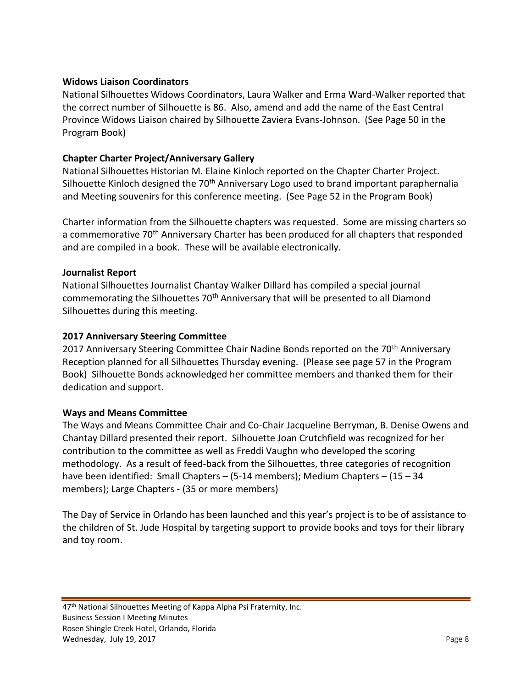# **Widows Liaison Coordinators**

National Silhouettes Widows Coordinators, Laura Walker and Erma Ward-Walker reported that the correct number of Silhouette is 86. Also, amend and add the name of the East Central Province Widows Liaison chaired by Silhouette Zaviera Evans-Johnson. (See Page 50 in the Program Book)

# **Chapter Charter Project/Anniversary Gallery**

National Silhouettes Historian M. Elaine Kinloch reported on the Chapter Charter Project. Silhouette Kinloch designed the 70<sup>th</sup> Anniversary Logo used to brand important paraphernalia and Meeting souvenirs for this conference meeting. (See Page 52 in the Program Book)

Charter information from the Silhouette chapters was requested. Some are missing charters so a commemorative 70th Anniversary Charter has been produced for all chapters that responded and are compiled in a book. These will be available electronically.

#### **Journalist Report**

National Silhouettes Journalist Chantay Walker Dillard has compiled a special journal commemorating the Silhouettes  $70<sup>th</sup>$  Anniversary that will be presented to all Diamond Silhouettes during this meeting.

# **2017 Anniversary Steering Committee**

2017 Anniversary Steering Committee Chair Nadine Bonds reported on the 70<sup>th</sup> Anniversary Reception planned for all Silhouettes Thursday evening. (Please see page 57 in the Program Book) Silhouette Bonds acknowledged her committee members and thanked them for their dedication and support.

#### **Ways and Means Committee**

The Ways and Means Committee Chair and Co-Chair Jacqueline Berryman, B. Denise Owens and Chantay Dillard presented their report. Silhouette Joan Crutchfield was recognized for her contribution to the committee as well as Freddi Vaughn who developed the scoring methodology. As a result of feed-back from the Silhouettes, three categories of recognition have been identified: Small Chapters – (5-14 members); Medium Chapters – (15 – 34 members); Large Chapters - (35 or more members)

The Day of Service in Orlando has been launched and this year's project is to be of assistance to the children of St. Jude Hospital by targeting support to provide books and toys for their library and toy room.